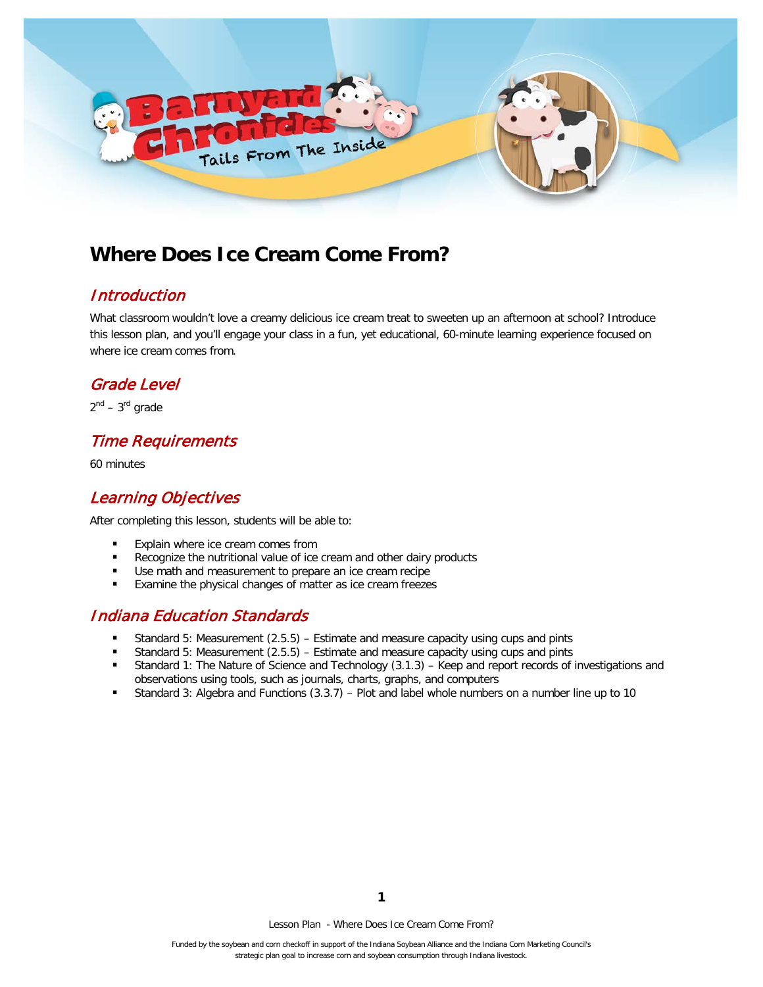

# **Where Does Ice Cream Come From?**

#### **Introduction**

What classroom wouldn't love a creamy delicious ice cream treat to sweeten up an afternoon at school? Introduce this lesson plan, and you'll engage your class in a fun, yet educational, 60-minute learning experience focused on where ice cream comes from.

#### Grade Level

 $2^{nd}$  –  $3^{rd}$  grade

# Time Requirements

60 minutes

## Learning Objectives

After completing this lesson, students will be able to:

- Explain where ice cream comes from
- Recognize the nutritional value of ice cream and other dairy products
- Use math and measurement to prepare an ice cream recipe
- Examine the physical changes of matter as ice cream freezes

### Indiana Education Standards

- Standard 5: Measurement (2.5.5) Estimate and measure capacity using cups and pints
- Standard 5: Measurement (2.5.5) Estimate and measure capacity using cups and pints
- Standard 1: The Nature of Science and Technology (3.1.3) Keep and report records of investigations and observations using tools, such as journals, charts, graphs, and computers
- Standard 3: Algebra and Functions (3.3.7) Plot and label whole numbers on a number line up to 10

Lesson Plan - Where Does Ice Cream Come From?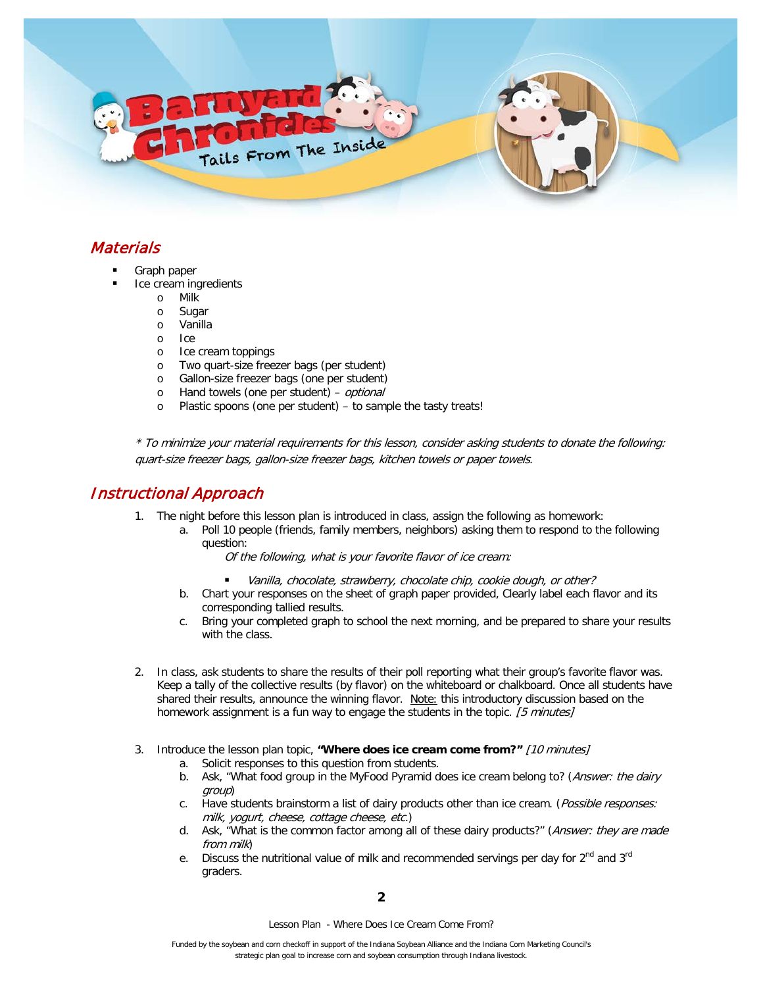

# **Materials**

- Graph paper
- Ice cream ingredients
	- o Milk
	- o Sugar
	- o Vanilla
	- o Ice
	- o Ice cream toppings<br>o Two quart-size free:
	- o Two quart-size freezer bags (per student)<br>
	o Gallon-size freezer bags (one per student)
	- Gallon-size freezer bags (one per student)
	- o Hand towels (one per student) *optional* o Plastic spoons (one per student) to samp
	- Plastic spoons (one per student) to sample the tasty treats!

\* To minimize your material requirements for this lesson, consider asking students to donate the following: quart-size freezer bags, gallon-size freezer bags, kitchen towels or paper towels.

#### Instructional Approach

- 1. The night before this lesson plan is introduced in class, assign the following as homework:
	- a. Poll 10 people (friends, family members, neighbors) asking them to respond to the following question:

Of the following, what is your favorite flavor of ice cream:

- Vanilla, chocolate, strawberry, chocolate chip, cookie dough, or other?
- b. Chart your responses on the sheet of graph paper provided, Clearly label each flavor and its corresponding tallied results.
- c. Bring your completed graph to school the next morning, and be prepared to share your results with the class.
- 2. In class, ask students to share the results of their poll reporting what their group's favorite flavor was. Keep a tally of the collective results (by flavor) on the whiteboard or chalkboard. Once all students have shared their results, announce the winning flavor. Note: this introductory discussion based on the homework assignment is a fun way to engage the students in the topic. [5 minutes]
- 3. Introduce the lesson plan topic, **"Where does ice cream come from?"** [10 minutes]
	- a. Solicit responses to this question from students.
	- b. Ask, "What food group in the MyFood Pyramid does ice cream belong to? (Answer: the dairy group)
	- c. Have students brainstorm a list of dairy products other than ice cream. (Possible responses: milk, yogurt, cheese, cottage cheese, etc.)
	- d. Ask, "What is the common factor among all of these dairy products?" (Answer: they are made from milk)
	- e. Discuss the nutritional value of milk and recommended servings per day for  $2^{nd}$  and  $3^{rd}$ graders.

Lesson Plan - Where Does Ice Cream Come From?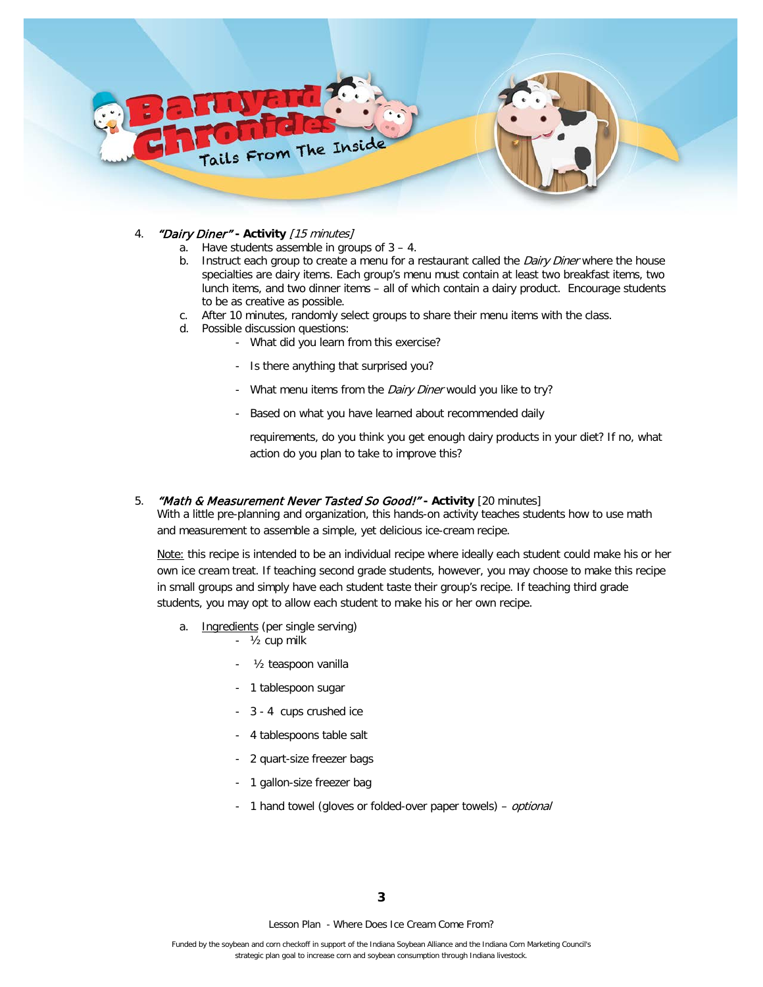

- 4. "Dairy Diner" **- Activity** [15 minutes]
	- a. Have students assemble in groups of 3 4.
	- b. Instruct each group to create a menu for a restaurant called the Dairy Diner where the house specialties are dairy items. Each group's menu must contain at least two breakfast items, two lunch items, and two dinner items – all of which contain a dairy product. Encourage students to be as creative as possible.
	- c. After 10 minutes, randomly select groups to share their menu items with the class.
	- d. Possible discussion questions:
		- What did you learn from this exercise?
			- Is there anything that surprised you?
			- What menu items from the Dairy Diner would you like to try?
			- Based on what you have learned about recommended daily

requirements, do you think you get enough dairy products in your diet? If no, what action do you plan to take to improve this?

5. "Math & Measurement Never Tasted So Good!" **- Activity** [20 minutes]

With a little pre-planning and organization, this hands-on activity teaches students how to use math and measurement to assemble a simple, yet delicious ice-cream recipe.

Note: this recipe is intended to be an individual recipe where ideally each student could make his or her own ice cream treat. If teaching second grade students, however, you may choose to make this recipe in small groups and simply have each student taste their group's recipe. If teaching third grade students, you may opt to allow each student to make his or her own recipe.

- a. Ingredients (per single serving)
	- ½ cup milk
	- 1/<sub>2</sub> teaspoon vanilla
	- 1 tablespoon sugar
	- 3 4 cups crushed ice
	- 4 tablespoons table salt
	- 2 quart-size freezer bags
	- 1 gallon-size freezer bag
	- 1 hand towel (gloves or folded-over paper towels) *optional*

Lesson Plan - Where Does Ice Cream Come From?